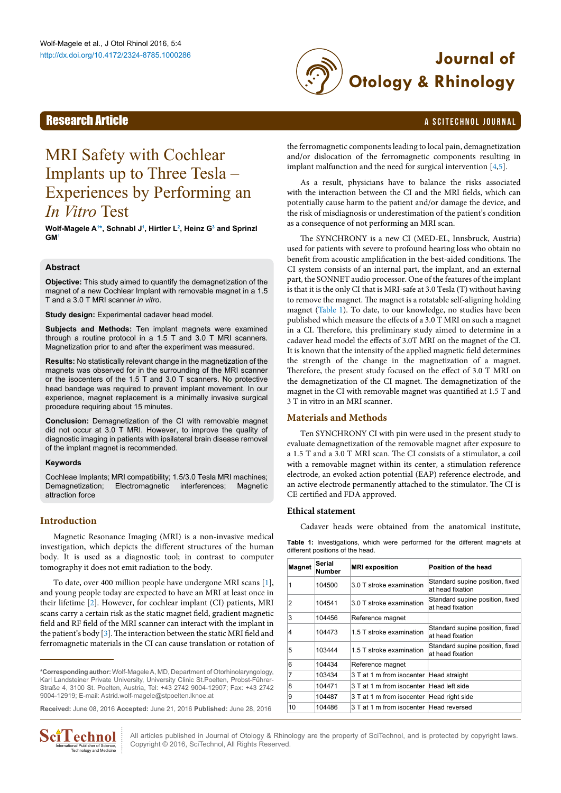

## **Research Article** a Scitechnol journal and the search of the search and the search and the search and the search of the search and the search of the search of the search of the search of the search of the search of the se

# MRI Safety with Cochlear Implants up to Three Tesla – Experiences by Performing an *In Vitro* Test

**Wolf-Magele A[1](#page-3-0) [\\*,](#page-0-0) Schnabl J[1](#page-3-0) , Hirtler L[2](#page-3-1) , Heinz [G3](#page-3-2) and Sprinzl G[M1](#page-3-0)**

#### **Abstract**

**Objective:** This study aimed to quantify the demagnetization of the magnet of a new Cochlear Implant with removable magnet in a 1.5 T and a 3.0 T MRI scanner *in vitro*.

**Study design:** Experimental cadaver head model.

**Subjects and Methods:** Ten implant magnets were examined through a routine protocol in a 1.5 T and 3.0 T MRI scanners. Magnetization prior to and after the experiment was measured.

**Results:** No statistically relevant change in the magnetization of the magnets was observed for in the surrounding of the MRI scanner or the isocenters of the 1.5 T and 3.0 T scanners. No protective head bandage was required to prevent implant movement. In our experience, magnet replacement is a minimally invasive surgical procedure requiring about 15 minutes.

**Conclusion:** Demagnetization of the CI with removable magnet did not occur at 3.0 T MRI. However, to improve the quality of diagnostic imaging in patients with ipsilateral brain disease removal of the implant magnet is recommended.

#### **Keywords**

Cochleae Implants; MRI compatibility; 1.5/3.0 Tesla MRI machines; Demagnetization; Electromagnetic interferences; Magnetic attraction force

### **Introduction**

Magnetic Resonance Imaging (MRI) is a non-invasive medical investigation, which depicts the different structures of the human body. It is used as a diagnostic tool; in contrast to computer tomography it does not emit radiation to the body.

To date, over 400 million people have undergone MRI scans [\[1](#page-3-3)], and young people today are expected to have an MRI at least once in their lifetime [[2\]](#page-3-4). However, for cochlear implant (CI) patients, MRI scans carry a certain risk as the static magnet field, gradient magnetic field and RF field of the MRI scanner can interact with the implant in the patient's body [\[3](#page-3-5)]. The interaction between the static MRI field and ferromagnetic materials in the CI can cause translation or rotation of

<span id="page-0-0"></span>**\*Corresponding author:** Wolf-Magele A, MD, Department of Otorhinolaryngology, Karl Landsteiner Private University, University Clinic St.Poelten, Probst-Führer-Straße 4, 3100 St. Poelten, Austria, Tel: +43 2742 9004-12907; Fax: +43 2742 9004-12919; E-mail: Astrid.wolf-magele@stpoelten.lknoe.at

**Received:** June 08, 2016 **Accepted:** June 21, 2016 **Published:** June 28, 2016



the ferromagnetic components leading to local pain, demagnetization and/or dislocation of the ferromagnetic components resulting in implant malfunction and the need for surgical intervention [[4](#page-3-6)[,5\]](#page-3-7).

As a result, physicians have to balance the risks associated with the interaction between the CI and the MRI fields, which can potentially cause harm to the patient and/or damage the device, and the risk of misdiagnosis or underestimation of the patient's condition as a consequence of not performing an MRI scan.

The SYNCHRONY is a new CI (MED-EL, Innsbruck, Austria) used for patients with severe to profound hearing loss who obtain no benefit from acoustic amplification in the best-aided conditions. The CI system consists of an internal part, the implant, and an external part, the SONNET audio processor. One of the features of the implant is that it is the only CI that is MRI-safe at 3.0 Tesla (T) without having to remove the magnet. The magnet is a rotatable self-aligning holding magnet ([Table 1](#page-0-1)). To date, to our knowledge, no studies have been published which measure the effects of a 3.0 T MRI on such a magnet in a CI. Therefore, this preliminary study aimed to determine in a cadaver head model the effects of 3.0T MRI on the magnet of the CI. It is known that the intensity of the applied magnetic field determines the strength of the change in the magnetization of a magnet. Therefore, the present study focused on the effect of 3.0 T MRI on the demagnetization of the CI magnet. The demagnetization of the magnet in the CI with removable magnet was quantified at 1.5 T and 3 T in vitro in an MRI scanner.

### **Materials and Methods**

Ten SYNCHRONY CI with pin were used in the present study to evaluate demagnetization of the removable magnet after exposure to a 1.5 T and a 3.0 T MRI scan. The CI consists of a stimulator, a coil with a removable magnet within its center, a stimulation reference electrode, an evoked action potential (EAP) reference electrode, and an active electrode permanently attached to the stimulator. The CI is CE certified and FDA approved.

#### **Ethical statement**

Cadaver heads were obtained from the anatomical institute,

<span id="page-0-1"></span>**Table 1:** Investigations, which were performed for the different magnets at different positions of the head.

| <b>Magnet</b> | Serial<br>Number | <b>MRI</b> exposition                                                           | Position of the head                                |  |
|---------------|------------------|---------------------------------------------------------------------------------|-----------------------------------------------------|--|
| 1             | 104500           | 3.0 T stroke examination                                                        | Standard supine position, fixed<br>at head fixation |  |
| 2             | 104541           | Standard supine position, fixed<br>3.0 T stroke examination<br>at head fixation |                                                     |  |
| 3             | 104456           | Reference magnet                                                                |                                                     |  |
| 4             | 104473           | 1.5 T stroke examination                                                        | Standard supine position, fixed<br>at head fixation |  |
| 5             | 103444           | 1.5 T stroke examination                                                        | Standard supine position, fixed<br>at head fixation |  |
| 6             | 104434           | Reference magnet                                                                |                                                     |  |
| 7             | 103434           | 3 T at 1 m from isocenter                                                       | Head straight                                       |  |
| 8             | 104471           | 3 T at 1 m from isocenter                                                       | Head left side                                      |  |
| 9             | 104487           | 3 T at 1 m from isocenter                                                       | Head right side                                     |  |
| 10            | 104486           | 3 T at 1 m from isocenter                                                       | Head reversed                                       |  |

All articles published in Journal of Otology & Rhinology are the property of SciTechnol, and is protected by copyright laws. Copyright © 2016, SciTechnol, All Rights Reserved.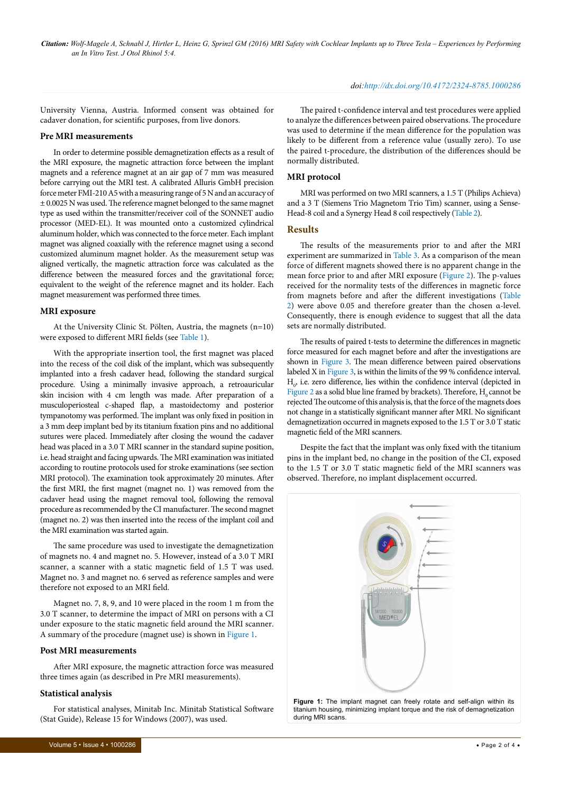#### *doi:http://dx.doi.org/10.4172/2324-8785.1000286*

University Vienna, Austria. Informed consent was obtained for cadaver donation, for scientific purposes, from live donors.

#### **Pre MRI measurements**

In order to determine possible demagnetization effects as a result of the MRI exposure, the magnetic attraction force between the implant magnets and a reference magnet at an air gap of 7 mm was measured before carrying out the MRI test. A calibrated Alluris GmbH precision force meter FMI-210 A5 with a measuring range of 5 N and an accuracy of ± 0.0025 N was used. The reference magnet belonged to the same magnet type as used within the transmitter/receiver coil of the SONNET audio processor (MED-EL). It was mounted onto a customized cylindrical aluminum holder, which was connected to the force meter. Each implant magnet was aligned coaxially with the reference magnet using a second customized aluminum magnet holder. As the measurement setup was aligned vertically, the magnetic attraction force was calculated as the difference between the measured forces and the gravitational force; equivalent to the weight of the reference magnet and its holder. Each magnet measurement was performed three times.

#### **MRI exposure**

At the University Clinic St. Pölten, Austria, the magnets (n=10) were exposed to different MRI fields (see [Table 1\)](#page-0-1).

With the appropriate insertion tool, the first magnet was placed into the recess of the coil disk of the implant, which was subsequently implanted into a fresh cadaver head, following the standard surgical procedure. Using a minimally invasive approach, a retroauricular skin incision with 4 cm length was made. After preparation of a musculoperiosteal c-shaped flap, a mastoidectomy and posterior tympanotomy was performed. The implant was only fixed in position in a 3 mm deep implant bed by its titanium fixation pins and no additional sutures were placed. Immediately after closing the wound the cadaver head was placed in a 3.0 T MRI scanner in the standard supine position, i.e. head straight and facing upwards. The MRI examination was initiated according to routine protocols used for stroke examinations (see section MRI protocol). The examination took approximately 20 minutes. After the first MRI, the first magnet (magnet no. 1) was removed from the cadaver head using the magnet removal tool, following the removal procedure as recommended by the CI manufacturer. The second magnet (magnet no. 2) was then inserted into the recess of the implant coil and the MRI examination was started again.

The same procedure was used to investigate the demagnetization of magnets no. 4 and magnet no. 5. However, instead of a 3.0 T MRI scanner, a scanner with a static magnetic field of 1.5 T was used. Magnet no. 3 and magnet no. 6 served as reference samples and were therefore not exposed to an MRI field.

Magnet no. 7, 8, 9, and 10 were placed in the room 1 m from the 3.0 T scanner, to determine the impact of MRI on persons with a CI under exposure to the static magnetic field around the MRI scanner. A summary of the procedure (magnet use) is shown in [Figure 1.](#page-1-0)

#### **Post MRI measurements**

After MRI exposure, the magnetic attraction force was measured three times again (as described in Pre MRI measurements).

#### **Statistical analysis**

For statistical analyses, Minitab Inc. Minitab Statistical Software (Stat Guide), Release 15 for Windows (2007), was used.

The paired t-confidence interval and test procedures were applied to analyze the differences between paired observations. The procedure was used to determine if the mean difference for the population was likely to be different from a reference value (usually zero). To use the paired t-procedure, the distribution of the differences should be normally distributed.

#### **MRI protocol**

MRI was performed on two MRI scanners, a 1.5 T (Philips Achieva) and a 3 T (Siemens Trio Magnetom Trio Tim) scanner, using a Sense-Head-8 coil and a Synergy Head 8 coil respectively [\(Table 2\)](#page-2-0).

#### **Results**

The results of the measurements prior to and after the MRI experiment are summarized in [Table 3](#page-2-1). As a comparison of the mean force of different magnets showed there is no apparent change in the mean force prior to and after MRI exposure [\(Figure 2](#page-2-2)). The p-values received for the normality tests of the differences in magnetic force from magnets before and after the different investigations ([Table](#page-2-0) [2](#page-2-0)) were above 0.05 and therefore greater than the chosen α-level. Consequently, there is enough evidence to suggest that all the data sets are normally distributed.

The results of paired t-tests to determine the differences in magnetic force measured for each magnet before and after the investigations are shown in [Figure 3.](#page-1-0) The mean difference between paired observations labeled X in [Figure 3](#page-1-0), is within the limits of the 99 % confidence interval.  $H_0$ , i.e. zero difference, lies within the confidence interval (depicted in [Figure 2](#page-2-2) as a solid blue line framed by brackets). Therefore,  $H_0$  cannot be rejected The outcome of this analysis is, that the force of the magnets does not change in a statistically significant manner after MRI. No significant demagnetization occurred in magnets exposed to the 1.5 T or 3.0 T static magnetic field of the MRI scanners.

Despite the fact that the implant was only fixed with the titanium pins in the implant bed, no change in the position of the CI, exposed to the 1.5 T or 3.0 T static magnetic field of the MRI scanners was observed. Therefore, no implant displacement occurred.

<span id="page-1-0"></span>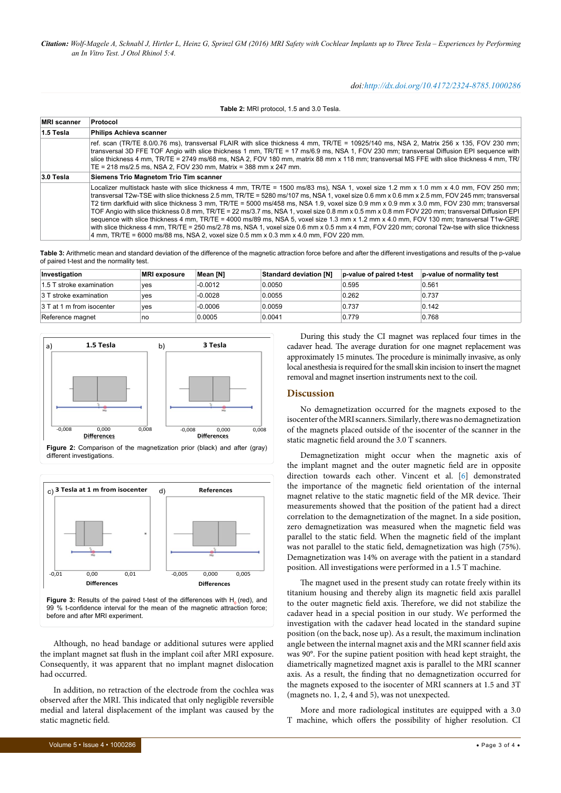*Citation: Wolf-Magele A, Schnabl J, Hirtler L, Heinz G, Sprinzl GM (2016) MRI Safety with Cochlear Implants up to Three Tesla – Experiences by Performing an In Vitro Test. J Otol Rhinol 5:4.*

#### *doi:http://dx.doi.org/10.4172/2324-8785.1000286*

<span id="page-2-0"></span>**Table 2:** MRI protocol, 1.5 and 3.0 Tesla.

| <b>MRI</b> scanner | Protocol<br><b>Philips Achieva scanner</b>                                                                                                                                                                                                                                                                                                                                                                                                                                                                                                                                                                                                                                                                                                                                                                                                                                                                                                                              |  |  |  |  |
|--------------------|-------------------------------------------------------------------------------------------------------------------------------------------------------------------------------------------------------------------------------------------------------------------------------------------------------------------------------------------------------------------------------------------------------------------------------------------------------------------------------------------------------------------------------------------------------------------------------------------------------------------------------------------------------------------------------------------------------------------------------------------------------------------------------------------------------------------------------------------------------------------------------------------------------------------------------------------------------------------------|--|--|--|--|
| 1.5 Tesla          |                                                                                                                                                                                                                                                                                                                                                                                                                                                                                                                                                                                                                                                                                                                                                                                                                                                                                                                                                                         |  |  |  |  |
|                    | ref. scan (TR/TE 8.0/0.76 ms), transversal FLAIR with slice thickness 4 mm, TR/TE = 10925/140 ms, NSA 2, Matrix 256 x 135, FOV 230 mm;<br>transversal 3D FFE TOF Angio with slice thickness 1 mm, TR/TE = 17 ms/6.9 ms, NSA 1, FOV 230 mm; transversal Diffusion EPI sequence with<br>slice thickness 4 mm, TR/TE = 2749 ms/68 ms, NSA 2, FOV 180 mm, matrix 88 mm x 118 mm; transversal MS FFE with slice thickness 4 mm, TR/<br>TE = 218 ms/2.5 ms, NSA 2, FOV 230 mm, Matrix = 388 mm x 247 mm.                                                                                                                                                                                                                                                                                                                                                                                                                                                                      |  |  |  |  |
| 3.0 Tesla          | Siemens Trio Magnetom Trio Tim scanner                                                                                                                                                                                                                                                                                                                                                                                                                                                                                                                                                                                                                                                                                                                                                                                                                                                                                                                                  |  |  |  |  |
|                    | Localizer multistack haste with slice thickness 4 mm, TR/TE = 1500 ms/83 ms), NSA 1, voxel size 1.2 mm x 1.0 mm x 4.0 mm, FOV 250 mm;<br>transversal T2w-TSE with slice thickness 2.5 mm, TR/TE = 5280 ms/107 ms, NSA 1, voxel size 0.6 mm x 0.6 mm x 2.5 mm, FOV 245 mm; transversal<br>T2 tirm darkfluid with slice thickness 3 mm, TR/TE = 5000 ms/458 ms, NSA 1.9, voxel size 0.9 mm x 0.9 mm x 3.0 mm, FOV 230 mm; transversal<br>TOF Angio with slice thickness 0.8 mm, TR/TE = 22 ms/3.7 ms, NSA 1, voxel size 0.8 mm x 0.5 mm x 0.8 mm FOV 220 mm; transversal Diffusion EPI<br>sequence with slice thickness 4 mm, TR/TE = 4000 ms/89 ms, NSA 5, voxel size 1.3 mm x 1.2 mm x 4.0 mm, FOV 130 mm; transversal T1w-GRE<br>with slice thickness 4 mm, TR/TE = 250 ms/2.78 ms, NSA 1, voxel size 0.6 mm x 0.5 mm x 4 mm, FOV 220 mm; coronal T2w-tse with slice thickness<br>4 mm, TR/TE = 6000 ms/88 ms, NSA 2, voxel size 0.5 mm x 0.3 mm x 4.0 mm, FOV 220 mm, |  |  |  |  |

<span id="page-2-1"></span>**Table 3:** Arithmetic mean and standard deviation of the difference of the magnetic attraction force before and after the different investigations and results of the p-value of paired t-test and the normality test.

| Investigation             | <b>MRI</b> exposure | Mean [N]  | <b>Standard deviation [N]</b> | p-value of paired t-test | p-value of normality test |
|---------------------------|---------------------|-----------|-------------------------------|--------------------------|---------------------------|
| 1.5 T stroke examination  | ves                 | $-0.0012$ | 0.0050                        | 0.595                    | 0.561                     |
| 3 T stroke examination    | ves                 | $-0.0028$ | 0.0055                        | 0.262                    | 0.737                     |
| 3 T at 1 m from isocenter | ves                 | $-0.0006$ | 0.0059                        | 0.737                    | 0.142                     |
| Reference magnet          | no                  | 0.0005    | 0.0041                        | 0.779                    | 0.768                     |

<span id="page-2-2"></span>





<sup>99</sup> % t-confidence interval for the mean of the magnetic attraction force; before and after MRI experiment.

Although, no head bandage or additional sutures were applied the implant magnet sat flush in the implant coil after MRI exposure. Consequently, it was apparent that no implant magnet dislocation had occurred.

In addition, no retraction of the electrode from the cochlea was observed after the MRI. This indicated that only negligible reversible medial and lateral displacement of the implant was caused by the static magnetic field.

During this study the CI magnet was replaced four times in the cadaver head. The average duration for one magnet replacement was approximately 15 minutes. The procedure is minimally invasive, as only local anesthesia is required for the small skin incision to insert the magnet removal and magnet insertion instruments next to the coil.

#### **Discussion**

No demagnetization occurred for the magnets exposed to the isocenter of the MRI scanners. Similarly, there was no demagnetization of the magnets placed outside of the isocenter of the scanner in the static magnetic field around the 3.0 T scanners.

Demagnetization might occur when the magnetic axis of the implant magnet and the outer magnetic field are in opposite direction towards each other. Vincent et al. [[6](#page-3-8)] demonstrated the importance of the magnetic field orientation of the internal magnet relative to the static magnetic field of the MR device. Their measurements showed that the position of the patient had a direct correlation to the demagnetization of the magnet. In a side position, zero demagnetization was measured when the magnetic field was parallel to the static field. When the magnetic field of the implant was not parallel to the static field, demagnetization was high (75%). Demagnetization was 14% on average with the patient in a standard position. All investigations were performed in a 1.5 T machine.

The magnet used in the present study can rotate freely within its titanium housing and thereby align its magnetic field axis parallel to the outer magnetic field axis. Therefore, we did not stabilize the cadaver head in a special position in our study. We performed the investigation with the cadaver head located in the standard supine position (on the back, nose up). As a result, the maximum inclination angle between the internal magnet axis and the MRI scanner field axis was 90°. For the supine patient position with head kept straight, the diametrically magnetized magnet axis is parallel to the MRI scanner axis. As a result, the finding that no demagnetization occurred for the magnets exposed to the isocenter of MRI scanners at 1.5 and 3T (magnets no. 1, 2, 4 and 5), was not unexpected.

More and more radiological institutes are equipped with a 3.0 T machine, which offers the possibility of higher resolution. CI